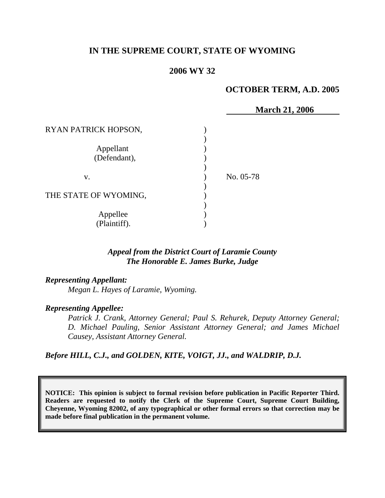# **IN THE SUPREME COURT, STATE OF WYOMING**

### **2006 WY 32**

#### **OCTOBER TERM, A.D. 2005**

|                       | <b>March 21, 2006</b> |
|-----------------------|-----------------------|
| RYAN PATRICK HOPSON,  |                       |
|                       |                       |
| Appellant             |                       |
| (Defendant),          |                       |
|                       |                       |
| V.                    | No. 05-78             |
|                       |                       |
| THE STATE OF WYOMING, |                       |
| Appellee              |                       |
| (Plaintiff).          |                       |

#### *Appeal from the District Court of Laramie County The Honorable E. James Burke, Judge*

### *Representing Appellant:*

*Megan L. Hayes of Laramie, Wyoming.* 

#### *Representing Appellee:*

*Patrick J. Crank, Attorney General; Paul S. Rehurek, Deputy Attorney General; D. Michael Pauling, Senior Assistant Attorney General; and James Michael Causey, Assistant Attorney General.* 

# *Before HILL, C.J., and GOLDEN, KITE, VOIGT, JJ., and WALDRIP, D.J.*

**NOTICE: This opinion is subject to formal revision before publication in Pacific Reporter Third. Readers are requested to notify the Clerk of the Supreme Court, Supreme Court Building, Cheyenne, Wyoming 82002, of any typographical or other formal errors so that correction may be made before final publication in the permanent volume.**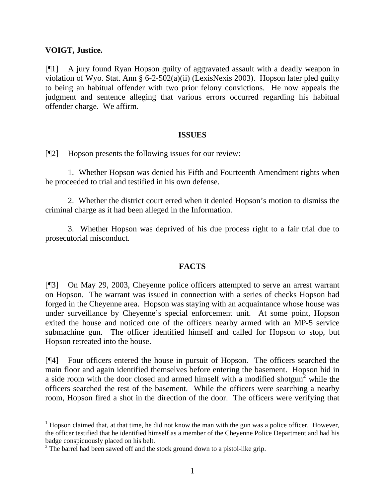### **VOIGT, Justice.**

[¶1] A jury found Ryan Hopson guilty of aggravated assault with a deadly weapon in violation of Wyo. Stat. Ann § 6-2-502(a)(ii) (LexisNexis 2003). Hopson later pled guilty to being an habitual offender with two prior felony convictions. He now appeals the judgment and sentence alleging that various errors occurred regarding his habitual offender charge. We affirm.

### **ISSUES**

[¶2] Hopson presents the following issues for our review:

1. Whether Hopson was denied his Fifth and Fourteenth Amendment rights when he proceeded to trial and testified in his own defense.

2. Whether the district court erred when it denied Hopson's motion to dismiss the criminal charge as it had been alleged in the Information.

3. Whether Hopson was deprived of his due process right to a fair trial due to prosecutorial misconduct.

# **FACTS**

[¶3] On May 29, 2003, Cheyenne police officers attempted to serve an arrest warrant on Hopson. The warrant was issued in connection with a series of checks Hopson had forged in the Cheyenne area. Hopson was staying with an acquaintance whose house was under surveillance by Cheyenne's special enforcement unit. At some point, Hopson exited the house and noticed one of the officers nearby armed with an MP-5 service submachine gun. The officer identified himself and called for Hopson to stop, but Hopson retreated into the house.<sup>[1](#page-1-0)</sup>

[¶4] Four officers entered the house in pursuit of Hopson. The officers searched the main floor and again identified themselves before entering the basement. Hopson hid in a side room with the door closed and armed himself with a modified shotgun<sup>[2](#page-1-1)</sup> while the officers searched the rest of the basement. While the officers were searching a nearby room, Hopson fired a shot in the direction of the door. The officers were verifying that

<span id="page-1-0"></span> $<sup>1</sup>$  Hopson claimed that, at that time, he did not know the man with the gun was a police officer. However,</sup> the officer testified that he identified himself as a member of the Cheyenne Police Department and had his badge conspicuously placed on his belt.

<span id="page-1-1"></span> $2^2$  The barrel had been sawed off and the stock ground down to a pistol-like grip.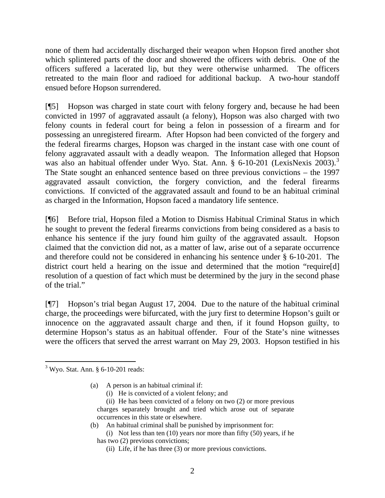none of them had accidentally discharged their weapon when Hopson fired another shot which splintered parts of the door and showered the officers with debris. One of the officers suffered a lacerated lip, but they were otherwise unharmed. The officers retreated to the main floor and radioed for additional backup. A two-hour standoff ensued before Hopson surrendered.

[¶5] Hopson was charged in state court with felony forgery and, because he had been convicted in 1997 of aggravated assault (a felony), Hopson was also charged with two felony counts in federal court for being a felon in possession of a firearm and for possessing an unregistered firearm. After Hopson had been convicted of the forgery and the federal firearms charges, Hopson was charged in the instant case with one count of felony aggravated assault with a deadly weapon. The Information alleged that Hopson was also an habitual offender under Wyo. Stat. Ann. § 6-10-201 (LexisNexis 200[3](#page-2-0)).<sup>3</sup> The State sought an enhanced sentence based on three previous convictions – the 1997 aggravated assault conviction, the forgery conviction, and the federal firearms convictions. If convicted of the aggravated assault and found to be an habitual criminal as charged in the Information, Hopson faced a mandatory life sentence.

[¶6] Before trial, Hopson filed a Motion to Dismiss Habitual Criminal Status in which he sought to prevent the federal firearms convictions from being considered as a basis to enhance his sentence if the jury found him guilty of the aggravated assault. Hopson claimed that the conviction did not, as a matter of law, arise out of a separate occurrence and therefore could not be considered in enhancing his sentence under § 6-10-201. The district court held a hearing on the issue and determined that the motion "require[d] resolution of a question of fact which must be determined by the jury in the second phase of the trial."

[¶7] Hopson's trial began August 17, 2004. Due to the nature of the habitual criminal charge, the proceedings were bifurcated, with the jury first to determine Hopson's guilt or innocence on the aggravated assault charge and then, if it found Hopson guilty, to determine Hopson's status as an habitual offender. Four of the State's nine witnesses were the officers that served the arrest warrant on May 29, 2003. Hopson testified in his

- (a) A person is an habitual criminal if:
	- (i) He is convicted of a violent felony; and
	- (ii) He has been convicted of a felony on two (2) or more previous charges separately brought and tried which arose out of separate occurrences in this state or elsewhere.
- (b) An habitual criminal shall be punished by imprisonment for: (i) Not less than ten (10) years nor more than fifty (50) years, if he has two (2) previous convictions;
	- (ii) Life, if he has three (3) or more previous convictions.

<span id="page-2-0"></span><sup>&</sup>lt;sup>3</sup> Wyo. Stat. Ann. § 6-10-201 reads: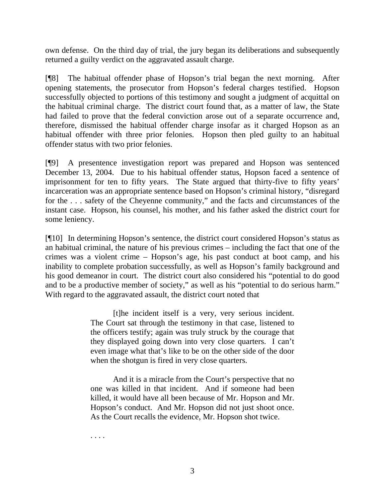own defense. On the third day of trial, the jury began its deliberations and subsequently returned a guilty verdict on the aggravated assault charge.

[¶8] The habitual offender phase of Hopson's trial began the next morning. After opening statements, the prosecutor from Hopson's federal charges testified. Hopson successfully objected to portions of this testimony and sought a judgment of acquittal on the habitual criminal charge. The district court found that, as a matter of law, the State had failed to prove that the federal conviction arose out of a separate occurrence and, therefore, dismissed the habitual offender charge insofar as it charged Hopson as an habitual offender with three prior felonies. Hopson then pled guilty to an habitual offender status with two prior felonies.

[¶9] A presentence investigation report was prepared and Hopson was sentenced December 13, 2004. Due to his habitual offender status, Hopson faced a sentence of imprisonment for ten to fifty years. The State argued that thirty-five to fifty years' incarceration was an appropriate sentence based on Hopson's criminal history, "disregard for the . . . safety of the Cheyenne community," and the facts and circumstances of the instant case. Hopson, his counsel, his mother, and his father asked the district court for some leniency.

[¶10] In determining Hopson's sentence, the district court considered Hopson's status as an habitual criminal, the nature of his previous crimes – including the fact that one of the crimes was a violent crime – Hopson's age, his past conduct at boot camp, and his inability to complete probation successfully, as well as Hopson's family background and his good demeanor in court. The district court also considered his "potential to do good and to be a productive member of society," as well as his "potential to do serious harm." With regard to the aggravated assault, the district court noted that

> [t]he incident itself is a very, very serious incident. The Court sat through the testimony in that case, listened to the officers testify; again was truly struck by the courage that they displayed going down into very close quarters. I can't even image what that's like to be on the other side of the door when the shotgun is fired in very close quarters.

> And it is a miracle from the Court's perspective that no one was killed in that incident. And if someone had been killed, it would have all been because of Mr. Hopson and Mr. Hopson's conduct. And Mr. Hopson did not just shoot once. As the Court recalls the evidence, Mr. Hopson shot twice.

. . . .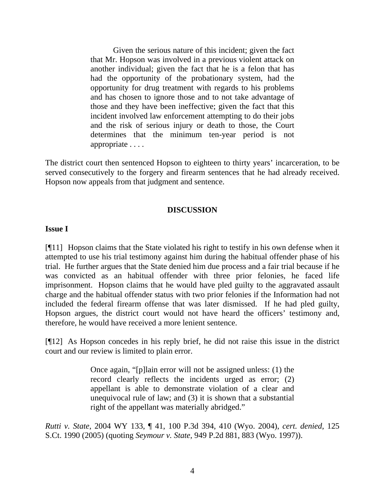Given the serious nature of this incident; given the fact that Mr. Hopson was involved in a previous violent attack on another individual; given the fact that he is a felon that has had the opportunity of the probationary system, had the opportunity for drug treatment with regards to his problems and has chosen to ignore those and to not take advantage of those and they have been ineffective; given the fact that this incident involved law enforcement attempting to do their jobs and the risk of serious injury or death to those, the Court determines that the minimum ten-year period is not appropriate . . . .

The district court then sentenced Hopson to eighteen to thirty years' incarceration, to be served consecutively to the forgery and firearm sentences that he had already received. Hopson now appeals from that judgment and sentence.

## **DISCUSSION**

#### **Issue I**

[¶11] Hopson claims that the State violated his right to testify in his own defense when it attempted to use his trial testimony against him during the habitual offender phase of his trial. He further argues that the State denied him due process and a fair trial because if he was convicted as an habitual offender with three prior felonies, he faced life imprisonment. Hopson claims that he would have pled guilty to the aggravated assault charge and the habitual offender status with two prior felonies if the Information had not included the federal firearm offense that was later dismissed. If he had pled guilty, Hopson argues, the district court would not have heard the officers' testimony and, therefore, he would have received a more lenient sentence.

[¶12] As Hopson concedes in his reply brief, he did not raise this issue in the district court and our review is limited to plain error.

> Once again, "[p]lain error will not be assigned unless: (1) the record clearly reflects the incidents urged as error; (2) appellant is able to demonstrate violation of a clear and unequivocal rule of law; and (3) it is shown that a substantial right of the appellant was materially abridged."

*Rutti v. State*, 2004 WY 133, ¶ 41, 100 P.3d 394, 410 (Wyo. 2004), *cert. denied*, 125 S.Ct. 1990 (2005) (quoting *Seymour v. State*, 949 P.2d 881, 883 (Wyo. 1997)).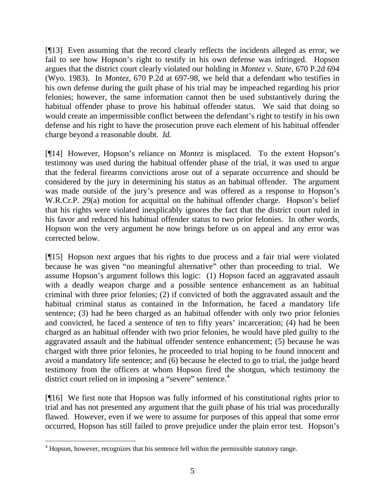[¶13] Even assuming that the record clearly reflects the incidents alleged as error, we fail to see how Hopson's right to testify in his own defense was infringed. Hopson argues that the district court clearly violated our holding in *Montez v. State*, 670 P.2d 694 (Wyo. 1983). In *Montez*, 670 P.2d at 697-98, we held that a defendant who testifies in his own defense during the guilt phase of his trial may be impeached regarding his prior felonies; however, the same information cannot then be used substantively during the habitual offender phase to prove his habitual offender status. We said that doing so would create an impermissible conflict between the defendant's right to testify in his own defense and his right to have the prosecution prove each element of his habitual offender charge beyond a reasonable doubt. *Id.*

[¶14] However, Hopson's reliance on *Montez* is misplaced. To the extent Hopson's testimony was used during the habitual offender phase of the trial, it was used to argue that the federal firearms convictions arose out of a separate occurrence and should be considered by the jury in determining his status as an habitual offender. The argument was made outside of the jury's presence and was offered as a response to Hopson's W.R.Cr.P. 29(a) motion for acquittal on the habitual offender charge. Hopson's belief that his rights were violated inexplicably ignores the fact that the district court ruled in his favor and reduced his habitual offender status to two prior felonies. In other words, Hopson won the very argument he now brings before us on appeal and any error was corrected below.

[¶15] Hopson next argues that his rights to due process and a fair trial were violated because he was given "no meaningful alternative" other than proceeding to trial. We assume Hopson's argument follows this logic: (1) Hopson faced an aggravated assault with a deadly weapon charge and a possible sentence enhancement as an habitual criminal with three prior felonies; (2) if convicted of both the aggravated assault and the habitual criminal status as contained in the Information, he faced a mandatory life sentence; (3) had he been charged as an habitual offender with only two prior felonies and convicted, he faced a sentence of ten to fifty years' incarceration; (4) had he been charged as an habitual offender with two prior felonies, he would have pled guilty to the aggravated assault and the habitual offender sentence enhancement; (5) because he was charged with three prior felonies, he proceeded to trial hoping to be found innocent and avoid a mandatory life sentence; and (6) because he elected to go to trial, the judge heard testimony from the officers at whom Hopson fired the shotgun, which testimony the district court relied on in imposing a "severe" sentence.<sup>[4](#page-5-0)</sup>

[¶16] We first note that Hopson was fully informed of his constitutional rights prior to trial and has not presented any argument that the guilt phase of his trial was procedurally flawed. However, even if we were to assume for purposes of this appeal that some error occurred, Hopson has still failed to prove prejudice under the plain error test. Hopson's

<span id="page-5-0"></span><sup>&</sup>lt;sup>4</sup> Hopson, however, recognizes that his sentence fell within the permissible statutory range.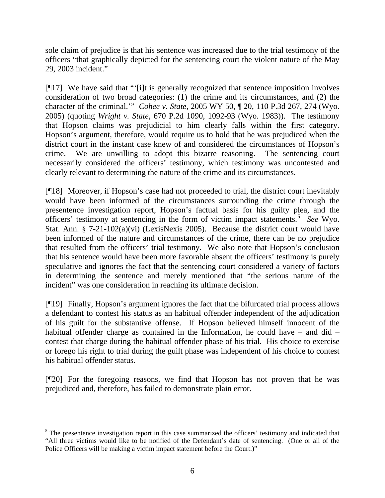sole claim of prejudice is that his sentence was increased due to the trial testimony of the officers "that graphically depicted for the sentencing court the violent nature of the May 29, 2003 incident."

[¶17] We have said that "'[i]t is generally recognized that sentence imposition involves consideration of two broad categories: (1) the crime and its circumstances, and (2) the character of the criminal.'" *Cohee v. State*, 2005 WY 50, ¶ 20, 110 P.3d 267, 274 (Wyo. 2005) (quoting *Wright v. State*, 670 P.2d 1090, 1092-93 (Wyo. 1983)). The testimony that Hopson claims was prejudicial to him clearly falls within the first category. Hopson's argument, therefore, would require us to hold that he was prejudiced when the district court in the instant case knew of and considered the circumstances of Hopson's crime. We are unwilling to adopt this bizarre reasoning. The sentencing court necessarily considered the officers' testimony, which testimony was uncontested and clearly relevant to determining the nature of the crime and its circumstances.

[¶18] Moreover, if Hopson's case had not proceeded to trial, the district court inevitably would have been informed of the circumstances surrounding the crime through the presentence investigation report, Hopson's factual basis for his guilty plea, and the officers' testimony at sentencing in the form of victim impact statements.<sup>[5](#page-6-0)</sup> See Wyo. Stat. Ann. § 7-21-102(a)(vi) (LexisNexis 2005). Because the district court would have been informed of the nature and circumstances of the crime, there can be no prejudice that resulted from the officers' trial testimony. We also note that Hopson's conclusion that his sentence would have been more favorable absent the officers' testimony is purely speculative and ignores the fact that the sentencing court considered a variety of factors in determining the sentence and merely mentioned that "the serious nature of the incident" was one consideration in reaching its ultimate decision.

[¶19] Finally, Hopson's argument ignores the fact that the bifurcated trial process allows a defendant to contest his status as an habitual offender independent of the adjudication of his guilt for the substantive offense. If Hopson believed himself innocent of the habitual offender charge as contained in the Information, he could have – and did – contest that charge during the habitual offender phase of his trial. His choice to exercise or forego his right to trial during the guilt phase was independent of his choice to contest his habitual offender status.

[¶20] For the foregoing reasons, we find that Hopson has not proven that he was prejudiced and, therefore, has failed to demonstrate plain error.

<span id="page-6-0"></span><sup>&</sup>lt;sup>5</sup> The presentence investigation report in this case summarized the officers' testimony and indicated that "All three victims would like to be notified of the Defendant's date of sentencing. (One or all of the Police Officers will be making a victim impact statement before the Court.)"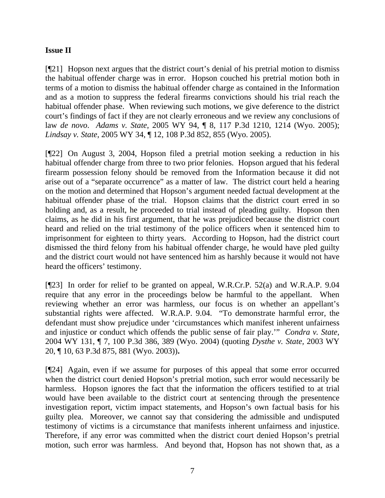# **Issue II**

[¶21] Hopson next argues that the district court's denial of his pretrial motion to dismiss the habitual offender charge was in error. Hopson couched his pretrial motion both in terms of a motion to dismiss the habitual offender charge as contained in the Information and as a motion to suppress the federal firearms convictions should his trial reach the habitual offender phase. When reviewing such motions, we give deference to the district court's findings of fact if they are not clearly erroneous and we review any conclusions of law *de novo*. *Adams v. State*, 2005 WY 94, ¶ 8, 117 P.3d 1210, 1214 (Wyo. 2005); *Lindsay v. State*, 2005 WY 34, ¶ 12, 108 P.3d 852, 855 (Wyo. 2005).

[¶22] On August 3, 2004, Hopson filed a pretrial motion seeking a reduction in his habitual offender charge from three to two prior felonies. Hopson argued that his federal firearm possession felony should be removed from the Information because it did not arise out of a "separate occurrence" as a matter of law. The district court held a hearing on the motion and determined that Hopson's argument needed factual development at the habitual offender phase of the trial. Hopson claims that the district court erred in so holding and, as a result, he proceeded to trial instead of pleading guilty. Hopson then claims, as he did in his first argument, that he was prejudiced because the district court heard and relied on the trial testimony of the police officers when it sentenced him to imprisonment for eighteen to thirty years. According to Hopson, had the district court dismissed the third felony from his habitual offender charge, he would have pled guilty and the district court would not have sentenced him as harshly because it would not have heard the officers' testimony.

[¶23] In order for relief to be granted on appeal, W.R.Cr.P. 52(a) and W.R.A.P. 9.04 require that any error in the proceedings below be harmful to the appellant. When reviewing whether an error was harmless, our focus is on whether an appellant's substantial rights were affected. W.R.A.P. 9.04. "To demonstrate harmful error, the defendant must show prejudice under 'circumstances which manifest inherent unfairness and injustice or conduct which offends the public sense of fair play.'" *Condra v. State,* 2004 WY 131, ¶ 7, 100 P.3d 386, 389 (Wyo. 2004) (quoting *Dysthe v. State,* 2003 WY 20, ¶ 10, 63 P.3d 875, 881 (Wyo. 2003))**.**

[¶24] Again, even if we assume for purposes of this appeal that some error occurred when the district court denied Hopson's pretrial motion, such error would necessarily be harmless. Hopson ignores the fact that the information the officers testified to at trial would have been available to the district court at sentencing through the presentence investigation report, victim impact statements, and Hopson's own factual basis for his guilty plea. Moreover, we cannot say that considering the admissible and undisputed testimony of victims is a circumstance that manifests inherent unfairness and injustice. Therefore, if any error was committed when the district court denied Hopson's pretrial motion, such error was harmless. And beyond that, Hopson has not shown that, as a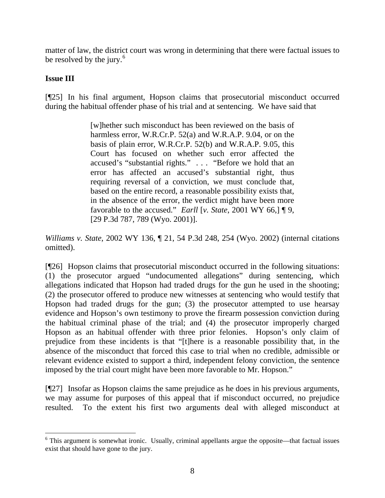matter of law, the district court was wrong in determining that there were factual issues to be resolved by the jury. $6$ 

# **Issue III**

[¶25] In his final argument, Hopson claims that prosecutorial misconduct occurred during the habitual offender phase of his trial and at sentencing. We have said that

> [w]hether such misconduct has been reviewed on the basis of harmless error, W.R.Cr.P. 52(a) and W.R.A.P. 9.04, or on the basis of plain error, W.R.Cr.P. 52(b) and W.R.A.P. 9.05, this Court has focused on whether such error affected the accused's "substantial rights." . . . "Before we hold that an error has affected an accused's substantial right, thus requiring reversal of a conviction, we must conclude that, based on the entire record, a reasonable possibility exists that, in the absence of the error, the verdict might have been more favorable to the accused." *Earll* [*v. State*, 2001 WY 66,] ¶ 9, [29 P.3d 787, 789 (Wyo. 2001)].

*Williams v. State*, 2002 WY 136, ¶ 21, 54 P.3d 248, 254 (Wyo. 2002) (internal citations omitted).

[¶26] Hopson claims that prosecutorial misconduct occurred in the following situations: (1) the prosecutor argued "undocumented allegations" during sentencing, which allegations indicated that Hopson had traded drugs for the gun he used in the shooting; (2) the prosecutor offered to produce new witnesses at sentencing who would testify that Hopson had traded drugs for the gun; (3) the prosecutor attempted to use hearsay evidence and Hopson's own testimony to prove the firearm possession conviction during the habitual criminal phase of the trial; and (4) the prosecutor improperly charged Hopson as an habitual offender with three prior felonies. Hopson's only claim of prejudice from these incidents is that "[t]here is a reasonable possibility that, in the absence of the misconduct that forced this case to trial when no credible, admissible or relevant evidence existed to support a third, independent felony conviction, the sentence imposed by the trial court might have been more favorable to Mr. Hopson."

[¶27] Insofar as Hopson claims the same prejudice as he does in his previous arguments, we may assume for purposes of this appeal that if misconduct occurred, no prejudice resulted. To the extent his first two arguments deal with alleged misconduct at

<span id="page-8-0"></span><sup>&</sup>lt;sup>6</sup> This argument is somewhat ironic. Usually, criminal appellants argue the opposite—that factual issues exist that should have gone to the jury.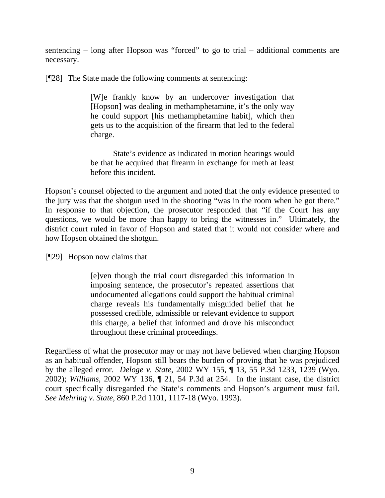sentencing – long after Hopson was "forced" to go to trial – additional comments are necessary.

[¶28] The State made the following comments at sentencing:

[W]e frankly know by an undercover investigation that [Hopson] was dealing in methamphetamine, it's the only way he could support [his methamphetamine habit], which then gets us to the acquisition of the firearm that led to the federal charge.

 State's evidence as indicated in motion hearings would be that he acquired that firearm in exchange for meth at least before this incident.

Hopson's counsel objected to the argument and noted that the only evidence presented to the jury was that the shotgun used in the shooting "was in the room when he got there." In response to that objection, the prosecutor responded that "if the Court has any questions, we would be more than happy to bring the witnesses in." Ultimately, the district court ruled in favor of Hopson and stated that it would not consider where and how Hopson obtained the shotgun.

[¶29] Hopson now claims that

[e]ven though the trial court disregarded this information in imposing sentence, the prosecutor's repeated assertions that undocumented allegations could support the habitual criminal charge reveals his fundamentally misguided belief that he possessed credible, admissible or relevant evidence to support this charge, a belief that informed and drove his misconduct throughout these criminal proceedings.

Regardless of what the prosecutor may or may not have believed when charging Hopson as an habitual offender, Hopson still bears the burden of proving that he was prejudiced by the alleged error. *Deloge v. State*, 2002 WY 155, ¶ 13, 55 P.3d 1233, 1239 (Wyo. 2002); *Williams*, 2002 WY 136, ¶ 21, 54 P.3d at 254. In the instant case, the district court specifically disregarded the State's comments and Hopson's argument must fail. *See Mehring v. State*, 860 P.2d 1101, 1117-18 (Wyo. 1993).